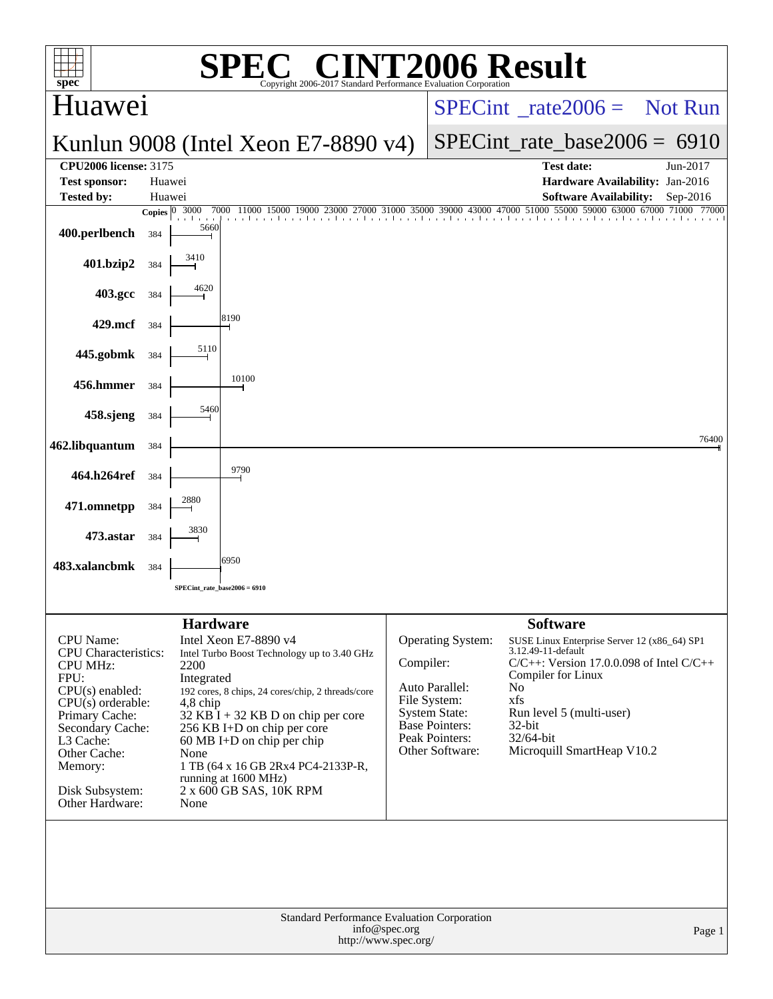| C <sup>®</sup> CINT2006 Result<br>spec <sup>®</sup><br>Copyright 2006-2017 Standard Performance Evaluation Corporation                                                                                                              |                                                  |                                                                                                                                                                                                                                                                                                                                                      |               |                                                                                                                                           |                                                                                                                                                                                                                                                                           |            |  |  |  |  |
|-------------------------------------------------------------------------------------------------------------------------------------------------------------------------------------------------------------------------------------|--------------------------------------------------|------------------------------------------------------------------------------------------------------------------------------------------------------------------------------------------------------------------------------------------------------------------------------------------------------------------------------------------------------|---------------|-------------------------------------------------------------------------------------------------------------------------------------------|---------------------------------------------------------------------------------------------------------------------------------------------------------------------------------------------------------------------------------------------------------------------------|------------|--|--|--|--|
| Huawei                                                                                                                                                                                                                              |                                                  |                                                                                                                                                                                                                                                                                                                                                      |               | $SPECint^{\circ}$ <sub>rate</sub> 2006 = Not Run                                                                                          |                                                                                                                                                                                                                                                                           |            |  |  |  |  |
|                                                                                                                                                                                                                                     |                                                  | Kunlun 9008 (Intel Xeon E7-8890 v4)                                                                                                                                                                                                                                                                                                                  |               | $SPECint_rate_base2006 = 6910$                                                                                                            |                                                                                                                                                                                                                                                                           |            |  |  |  |  |
| <b>CPU2006</b> license: 3175<br><b>Test sponsor:</b>                                                                                                                                                                                | Huawei                                           |                                                                                                                                                                                                                                                                                                                                                      |               |                                                                                                                                           | Test date:<br>Hardware Availability: Jan-2016                                                                                                                                                                                                                             | Jun-2017   |  |  |  |  |
| <b>Tested by:</b>                                                                                                                                                                                                                   | Huawei                                           |                                                                                                                                                                                                                                                                                                                                                      |               |                                                                                                                                           | <b>Software Availability:</b>                                                                                                                                                                                                                                             | $Sep-2016$ |  |  |  |  |
|                                                                                                                                                                                                                                     | 3000<br>Copies $ 0\rangle$                       | 7000<br>27000<br>11000<br>15000                                                                                                                                                                                                                                                                                                                      |               |                                                                                                                                           | 31000 35000 39000 43000 47000 51000 55000 59000 63000 67000 71000<br>the continuation of the change for a final                                                                                                                                                           | 77000      |  |  |  |  |
| 400.perlbench                                                                                                                                                                                                                       | 384                                              | 5660                                                                                                                                                                                                                                                                                                                                                 |               |                                                                                                                                           |                                                                                                                                                                                                                                                                           |            |  |  |  |  |
| 401.bzip2                                                                                                                                                                                                                           | 3410<br>384                                      |                                                                                                                                                                                                                                                                                                                                                      |               |                                                                                                                                           |                                                                                                                                                                                                                                                                           |            |  |  |  |  |
| 403.gcc                                                                                                                                                                                                                             | 4620<br>384                                      |                                                                                                                                                                                                                                                                                                                                                      |               |                                                                                                                                           |                                                                                                                                                                                                                                                                           |            |  |  |  |  |
| 429.mcf                                                                                                                                                                                                                             | 384                                              | 8190                                                                                                                                                                                                                                                                                                                                                 |               |                                                                                                                                           |                                                                                                                                                                                                                                                                           |            |  |  |  |  |
| 445.gobmk                                                                                                                                                                                                                           | 5110<br>384                                      |                                                                                                                                                                                                                                                                                                                                                      |               |                                                                                                                                           |                                                                                                                                                                                                                                                                           |            |  |  |  |  |
| 456.hmmer                                                                                                                                                                                                                           | 384                                              | 10100                                                                                                                                                                                                                                                                                                                                                |               |                                                                                                                                           |                                                                                                                                                                                                                                                                           |            |  |  |  |  |
| 458.sjeng                                                                                                                                                                                                                           | 384                                              | 5460                                                                                                                                                                                                                                                                                                                                                 |               |                                                                                                                                           |                                                                                                                                                                                                                                                                           |            |  |  |  |  |
| 462.libquantum                                                                                                                                                                                                                      | 384                                              |                                                                                                                                                                                                                                                                                                                                                      |               |                                                                                                                                           |                                                                                                                                                                                                                                                                           | 76400      |  |  |  |  |
| 464.h264ref                                                                                                                                                                                                                         | 384                                              | 9790                                                                                                                                                                                                                                                                                                                                                 |               |                                                                                                                                           |                                                                                                                                                                                                                                                                           |            |  |  |  |  |
| 471.omnetpp                                                                                                                                                                                                                         | 2880<br>384                                      |                                                                                                                                                                                                                                                                                                                                                      |               |                                                                                                                                           |                                                                                                                                                                                                                                                                           |            |  |  |  |  |
| 473.astar                                                                                                                                                                                                                           | 3830<br>384                                      |                                                                                                                                                                                                                                                                                                                                                      |               |                                                                                                                                           |                                                                                                                                                                                                                                                                           |            |  |  |  |  |
| 483.xalancbmk                                                                                                                                                                                                                       | 384                                              | 6950                                                                                                                                                                                                                                                                                                                                                 |               |                                                                                                                                           |                                                                                                                                                                                                                                                                           |            |  |  |  |  |
|                                                                                                                                                                                                                                     |                                                  | SPECint_rate_base2006 = 6910                                                                                                                                                                                                                                                                                                                         |               |                                                                                                                                           |                                                                                                                                                                                                                                                                           |            |  |  |  |  |
|                                                                                                                                                                                                                                     |                                                  |                                                                                                                                                                                                                                                                                                                                                      |               |                                                                                                                                           |                                                                                                                                                                                                                                                                           |            |  |  |  |  |
| CPU Name:<br><b>CPU</b> Characteristics:<br><b>CPU MHz:</b><br>FPU:<br>$CPU(s)$ enabled:<br>$CPU(s)$ orderable:<br>Primary Cache:<br>Secondary Cache:<br>L3 Cache:<br>Other Cache:<br>Memory:<br>Disk Subsystem:<br>Other Hardware: | 2200<br>Integrated<br>$4,8$ chip<br>None<br>None | <b>Hardware</b><br>Intel Xeon E7-8890 v4<br>Intel Turbo Boost Technology up to 3.40 GHz<br>192 cores, 8 chips, 24 cores/chip, 2 threads/core<br>$32$ KB I + 32 KB D on chip per core<br>256 KB I+D on chip per core<br>$60 \text{ MB I+D}$ on chip per chip<br>1 TB (64 x 16 GB 2Rx4 PC4-2133P-R,<br>running at 1600 MHz)<br>2 x 600 GB SAS, 10K RPM | Compiler:     | Operating System:<br>Auto Parallel:<br>File System:<br><b>System State:</b><br><b>Base Pointers:</b><br>Peak Pointers:<br>Other Software: | <b>Software</b><br>SUSE Linux Enterprise Server 12 (x86_64) SP1<br>3.12.49-11-default<br>$C/C++$ : Version 17.0.0.098 of Intel $C/C++$<br>Compiler for Linux<br>N <sub>0</sub><br>xfs<br>Run level 5 (multi-user)<br>32-bit<br>$32/64$ -bit<br>Microquill SmartHeap V10.2 |            |  |  |  |  |
|                                                                                                                                                                                                                                     |                                                  | Standard Performance Evaluation Corporation<br>http://www.spec.org/                                                                                                                                                                                                                                                                                  | info@spec.org |                                                                                                                                           |                                                                                                                                                                                                                                                                           | Page 1     |  |  |  |  |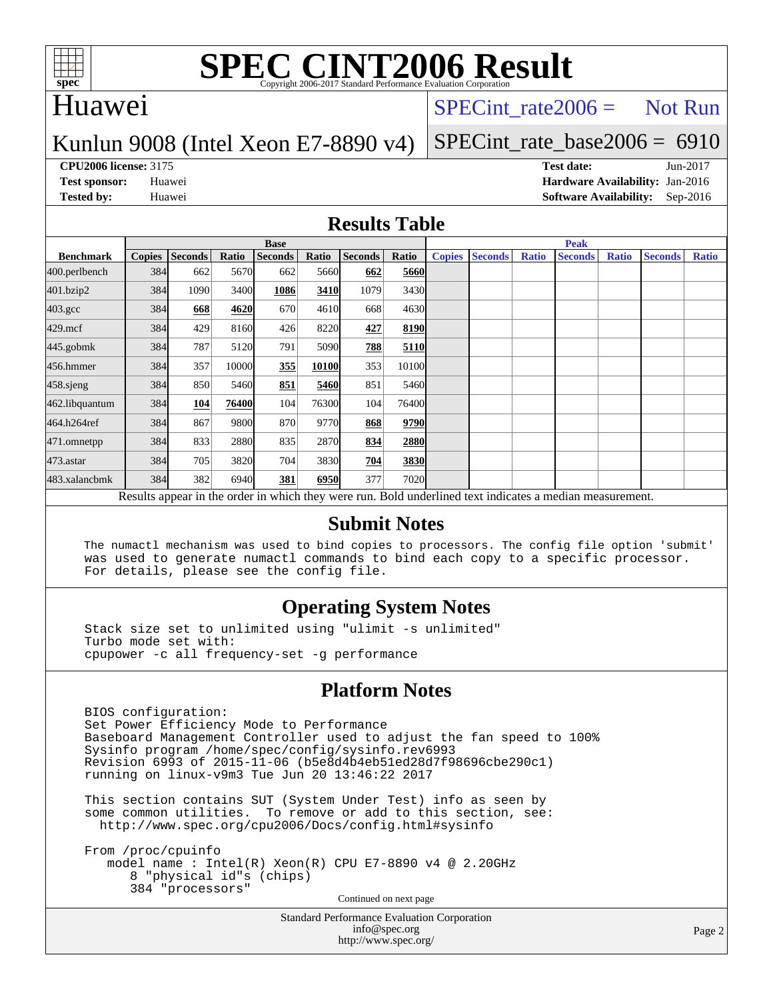

# Huawei

## $SPECTnt_rate2006 = Not Run$

### Kunlun 9008 (Intel Xeon E7-8890 v4)

## [SPECint\\_rate\\_base2006 =](http://www.spec.org/auto/cpu2006/Docs/result-fields.html#SPECintratebase2006) 6910

**[CPU2006 license:](http://www.spec.org/auto/cpu2006/Docs/result-fields.html#CPU2006license)** 3175 **[Test date:](http://www.spec.org/auto/cpu2006/Docs/result-fields.html#Testdate)** Jun-2017 **[Test sponsor:](http://www.spec.org/auto/cpu2006/Docs/result-fields.html#Testsponsor)** Huawei **[Hardware Availability:](http://www.spec.org/auto/cpu2006/Docs/result-fields.html#HardwareAvailability)** Jan-2016 **[Tested by:](http://www.spec.org/auto/cpu2006/Docs/result-fields.html#Testedby)** Huawei **[Software Availability:](http://www.spec.org/auto/cpu2006/Docs/result-fields.html#SoftwareAvailability)** Sep-2016

#### **[Results Table](http://www.spec.org/auto/cpu2006/Docs/result-fields.html#ResultsTable)**

|                                                                                                          | <b>Base</b>   |                |       |                |       |                | <b>Peak</b> |               |                |              |                |              |                |              |
|----------------------------------------------------------------------------------------------------------|---------------|----------------|-------|----------------|-------|----------------|-------------|---------------|----------------|--------------|----------------|--------------|----------------|--------------|
| <b>Benchmark</b>                                                                                         | <b>Copies</b> | <b>Seconds</b> | Ratio | <b>Seconds</b> | Ratio | <b>Seconds</b> | Ratio       | <b>Copies</b> | <b>Seconds</b> | <b>Ratio</b> | <b>Seconds</b> | <b>Ratio</b> | <b>Seconds</b> | <b>Ratio</b> |
| 400.perlbench                                                                                            | 384           | 662            | 5670  | 662            | 5660  | 662            | 5660        |               |                |              |                |              |                |              |
| 401.bzip2                                                                                                | 384           | 1090           | 3400  | 1086           | 3410  | 1079           | 3430        |               |                |              |                |              |                |              |
| $403.\mathrm{gcc}$                                                                                       | 384           | 668            | 4620  | 670            | 4610  | 668            | 4630        |               |                |              |                |              |                |              |
| $429$ .mcf                                                                                               | 384           | 429            | 8160  | 426            | 8220  | 427            | 8190        |               |                |              |                |              |                |              |
| $445$ .gobm $k$                                                                                          | 384           | 787            | 5120  | 791            | 5090  | <u>788</u>     | 5110        |               |                |              |                |              |                |              |
| 456.hmmer                                                                                                | 384           | 357            | 10000 | 355            | 10100 | 353            | 10100       |               |                |              |                |              |                |              |
| 458.sjeng                                                                                                | 384           | 850            | 5460  | 851            | 5460  | 851            | 5460        |               |                |              |                |              |                |              |
| 462.libquantum                                                                                           | 384           | 104            | 76400 | 104            | 76300 | 104            | 76400       |               |                |              |                |              |                |              |
| 464.h264ref                                                                                              | 384           | 867            | 9800  | 870            | 9770  | 868            | 9790        |               |                |              |                |              |                |              |
| 471.omnetpp                                                                                              | 384           | 833            | 2880  | 835            | 2870  | 834            | 2880        |               |                |              |                |              |                |              |
| 473.astar                                                                                                | 384           | 705            | 3820  | 704            | 3830  | 704            | 3830        |               |                |              |                |              |                |              |
| 483.xalancbmk                                                                                            | 384           | 382            | 6940  | 381            | 6950  | 377            | <b>7020</b> |               |                |              |                |              |                |              |
| Results appear in the order in which they were run. Bold underlined text indicates a median measurement. |               |                |       |                |       |                |             |               |                |              |                |              |                |              |

#### **[Submit Notes](http://www.spec.org/auto/cpu2006/Docs/result-fields.html#SubmitNotes)**

 The numactl mechanism was used to bind copies to processors. The config file option 'submit' was used to generate numactl commands to bind each copy to a specific processor. For details, please see the config file.

### **[Operating System Notes](http://www.spec.org/auto/cpu2006/Docs/result-fields.html#OperatingSystemNotes)**

 Stack size set to unlimited using "ulimit -s unlimited" Turbo mode set with: cpupower -c all frequency-set -g performance

### **[Platform Notes](http://www.spec.org/auto/cpu2006/Docs/result-fields.html#PlatformNotes)**

 BIOS configuration: Set Power Efficiency Mode to Performance Baseboard Management Controller used to adjust the fan speed to 100% Sysinfo program /home/spec/config/sysinfo.rev6993 Revision 6993 of 2015-11-06 (b5e8d4b4eb51ed28d7f98696cbe290c1) running on linux-v9m3 Tue Jun 20 13:46:22 2017

 This section contains SUT (System Under Test) info as seen by some common utilities. To remove or add to this section, see: <http://www.spec.org/cpu2006/Docs/config.html#sysinfo>

 From /proc/cpuinfo model name : Intel(R) Xeon(R) CPU E7-8890 v4 @ 2.20GHz 8 "physical id"s (chips) 384 "processors" Continued on next page

> Standard Performance Evaluation Corporation [info@spec.org](mailto:info@spec.org) <http://www.spec.org/>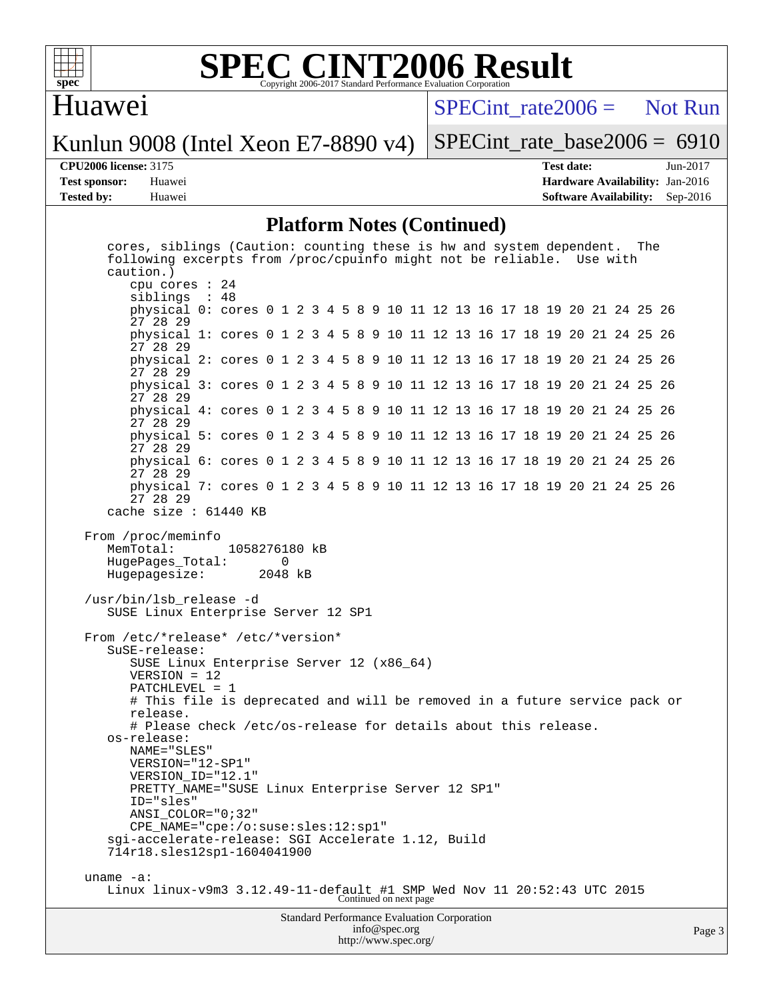

### **[SPEC CINT2006 Result](http://www.spec.org/auto/cpu2006/Docs/result-fields.html#SPECCINT2006Result)** Copyright 2006-2017 Standard Performance Evaluation Corporation

## Huawei

 $SPECint rate2006 =$  Not Run

Kunlun 9008 (Intel Xeon E7-8890 v4)

[SPECint\\_rate\\_base2006 =](http://www.spec.org/auto/cpu2006/Docs/result-fields.html#SPECintratebase2006) 6910

**[CPU2006 license:](http://www.spec.org/auto/cpu2006/Docs/result-fields.html#CPU2006license)** 3175 **[Test date:](http://www.spec.org/auto/cpu2006/Docs/result-fields.html#Testdate)** Jun-2017 **[Test sponsor:](http://www.spec.org/auto/cpu2006/Docs/result-fields.html#Testsponsor)** Huawei **[Hardware Availability:](http://www.spec.org/auto/cpu2006/Docs/result-fields.html#HardwareAvailability)** Jan-2016 **[Tested by:](http://www.spec.org/auto/cpu2006/Docs/result-fields.html#Testedby)** Huawei **[Software Availability:](http://www.spec.org/auto/cpu2006/Docs/result-fields.html#SoftwareAvailability)** Sep-2016

#### **[Platform Notes \(Continued\)](http://www.spec.org/auto/cpu2006/Docs/result-fields.html#PlatformNotes)**

 cores, siblings (Caution: counting these is hw and system dependent. The following excerpts from /proc/cpuinfo might not be reliable. Use with caution.) cpu cores : 24 siblings : 48 physical 0: cores 0 1 2 3 4 5 8 9 10 11 12 13 16 17 18 19 20 21 24 25 26 27 28 29 physical 1: cores 0 1 2 3 4 5 8 9 10 11 12 13 16 17 18 19 20 21 24 25 26 27 28 29 physical 2: cores 0 1 2 3 4 5 8 9 10 11 12 13 16 17 18 19 20 21 24 25 26 27 28 29 physical 3: cores 0 1 2 3 4 5 8 9 10 11 12 13 16 17 18 19 20 21 24 25 26 27 28 29 physical 4: cores 0 1 2 3 4 5 8 9 10 11 12 13 16 17 18 19 20 21 24 25 26 27 28 29 physical 5: cores 0 1 2 3 4 5 8 9 10 11 12 13 16 17 18 19 20 21 24 25 26 27 28 29 physical 6: cores 0 1 2 3 4 5 8 9 10 11 12 13 16 17 18 19 20 21 24 25 26 27 28 29 physical 7: cores 0 1 2 3 4 5 8 9 10 11 12 13 16 17 18 19 20 21 24 25 26 27 28 29 cache size : 61440 KB From /proc/meminfo MemTotal: 1058276180 kB<br>HugePages Total: 0 HugePages\_Total: 0 Hugepagesize: 2048 kB /usr/bin/lsb\_release -d SUSE Linux Enterprise Server 12 SP1 From /etc/\*release\* /etc/\*version\* SuSE-release: SUSE Linux Enterprise Server 12 (x86\_64) VERSION = 12 PATCHLEVEL = 1 # This file is deprecated and will be removed in a future service pack or release. # Please check /etc/os-release for details about this release. os-release: NAME="SLES" VERSION="12-SP1" VERSION\_ID="12.1" PRETTY\_NAME="SUSE Linux Enterprise Server 12 SP1" ID="sles" ANSI\_COLOR="0;32" CPE\_NAME="cpe:/o:suse:sles:12:sp1" sgi-accelerate-release: SGI Accelerate 1.12, Build 714r18.sles12sp1-1604041900 uname -a: Linux linux-v9m3 3.12.49-11-default #1 SMP Wed Nov 11 20:52:43 UTC 2015 Continued on next page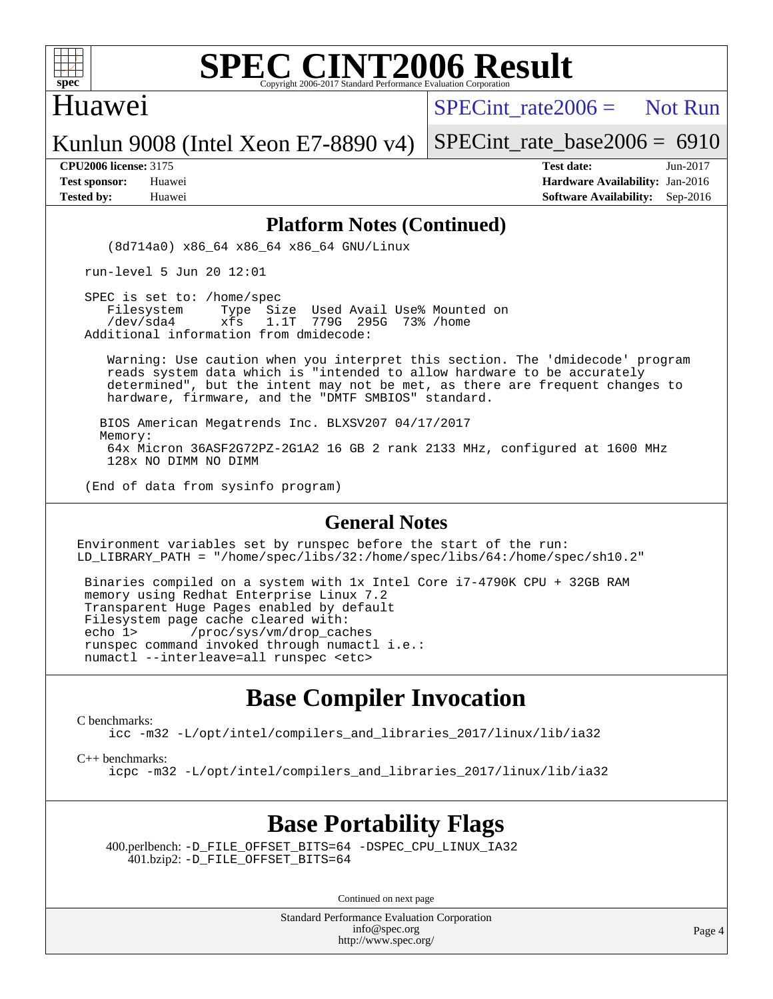

### Huawei

SPECint rate  $2006 =$  Not Run

Kunlun 9008 (Intel Xeon E7-8890 v4)

[SPECint\\_rate\\_base2006 =](http://www.spec.org/auto/cpu2006/Docs/result-fields.html#SPECintratebase2006) 6910

**[CPU2006 license:](http://www.spec.org/auto/cpu2006/Docs/result-fields.html#CPU2006license)** 3175 **[Test date:](http://www.spec.org/auto/cpu2006/Docs/result-fields.html#Testdate)** Jun-2017 **[Test sponsor:](http://www.spec.org/auto/cpu2006/Docs/result-fields.html#Testsponsor)** Huawei **[Hardware Availability:](http://www.spec.org/auto/cpu2006/Docs/result-fields.html#HardwareAvailability)** Jan-2016 **[Tested by:](http://www.spec.org/auto/cpu2006/Docs/result-fields.html#Testedby)** Huawei **[Software Availability:](http://www.spec.org/auto/cpu2006/Docs/result-fields.html#SoftwareAvailability)** Sep-2016

#### **[Platform Notes \(Continued\)](http://www.spec.org/auto/cpu2006/Docs/result-fields.html#PlatformNotes)**

(8d714a0) x86\_64 x86\_64 x86\_64 GNU/Linux

run-level 5 Jun 20 12:01

SPEC is set to: /home/spec<br>Filesystem Type Si Type Size Used Avail Use% Mounted on /dev/sda4 xfs 1.1T 779G 295G 73% /home Additional information from dmidecode:

 Warning: Use caution when you interpret this section. The 'dmidecode' program reads system data which is "intended to allow hardware to be accurately determined", but the intent may not be met, as there are frequent changes to hardware, firmware, and the "DMTF SMBIOS" standard.

 BIOS American Megatrends Inc. BLXSV207 04/17/2017 Memory: 64x Micron 36ASF2G72PZ-2G1A2 16 GB 2 rank 2133 MHz, configured at 1600 MHz 128x NO DIMM NO DIMM

(End of data from sysinfo program)

#### **[General Notes](http://www.spec.org/auto/cpu2006/Docs/result-fields.html#GeneralNotes)**

Environment variables set by runspec before the start of the run: LD\_LIBRARY\_PATH = "/home/spec/libs/32:/home/spec/libs/64:/home/spec/sh10.2"

 Binaries compiled on a system with 1x Intel Core i7-4790K CPU + 32GB RAM memory using Redhat Enterprise Linux 7.2 Transparent Huge Pages enabled by default Filesystem page cache cleared with: echo 1> /proc/sys/vm/drop\_caches runspec command invoked through numactl i.e.: numactl --interleave=all runspec <etc>

# **[Base Compiler Invocation](http://www.spec.org/auto/cpu2006/Docs/result-fields.html#BaseCompilerInvocation)**

[C benchmarks](http://www.spec.org/auto/cpu2006/Docs/result-fields.html#Cbenchmarks):

[icc -m32 -L/opt/intel/compilers\\_and\\_libraries\\_2017/linux/lib/ia32](http://www.spec.org/cpu2006/results/res2017q4/cpu2006-20170918-50117.flags.html#user_CCbase_intel_icc_c29f3ff5a7ed067b11e4ec10a03f03ae)

[C++ benchmarks:](http://www.spec.org/auto/cpu2006/Docs/result-fields.html#CXXbenchmarks)

[icpc -m32 -L/opt/intel/compilers\\_and\\_libraries\\_2017/linux/lib/ia32](http://www.spec.org/cpu2006/results/res2017q4/cpu2006-20170918-50117.flags.html#user_CXXbase_intel_icpc_8c35c7808b62dab9ae41a1aa06361b6b)

# **[Base Portability Flags](http://www.spec.org/auto/cpu2006/Docs/result-fields.html#BasePortabilityFlags)**

 400.perlbench: [-D\\_FILE\\_OFFSET\\_BITS=64](http://www.spec.org/cpu2006/results/res2017q4/cpu2006-20170918-50117.flags.html#user_basePORTABILITY400_perlbench_file_offset_bits_64_438cf9856305ebd76870a2c6dc2689ab) [-DSPEC\\_CPU\\_LINUX\\_IA32](http://www.spec.org/cpu2006/results/res2017q4/cpu2006-20170918-50117.flags.html#b400.perlbench_baseCPORTABILITY_DSPEC_CPU_LINUX_IA32) 401.bzip2: [-D\\_FILE\\_OFFSET\\_BITS=64](http://www.spec.org/cpu2006/results/res2017q4/cpu2006-20170918-50117.flags.html#user_basePORTABILITY401_bzip2_file_offset_bits_64_438cf9856305ebd76870a2c6dc2689ab)

Continued on next page

Standard Performance Evaluation Corporation [info@spec.org](mailto:info@spec.org) <http://www.spec.org/>

Page 4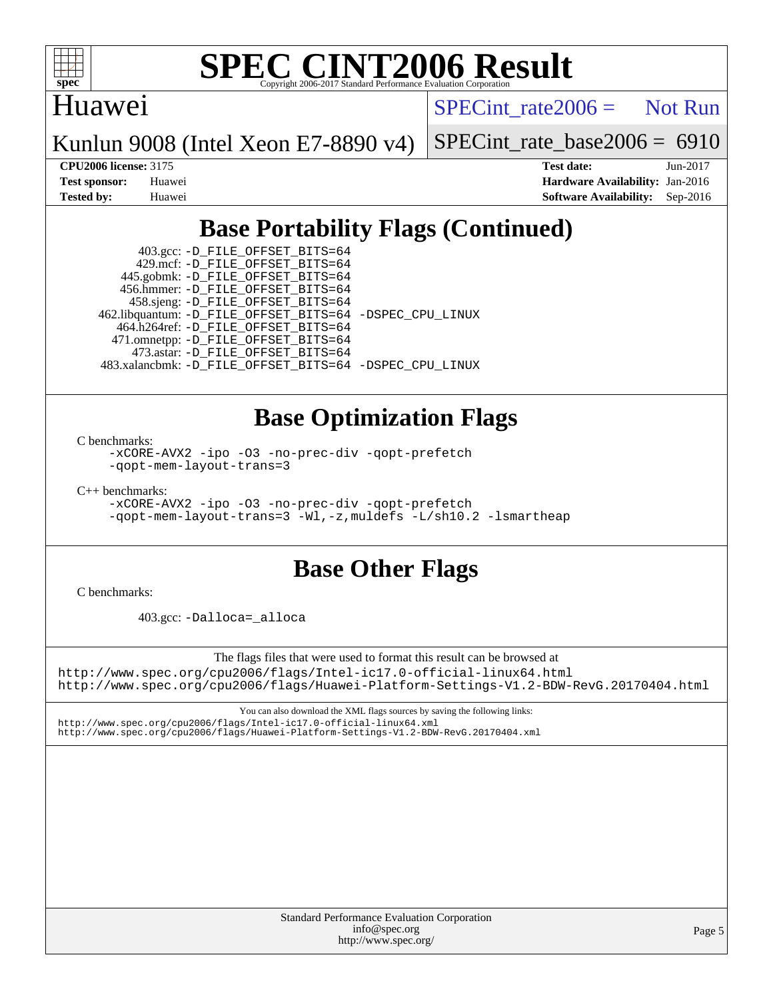

# Huawei

 $SPECTnt_rate2006 = Not Run$ 

Kunlun 9008 (Intel Xeon E7-8890 v4)

[SPECint\\_rate\\_base2006 =](http://www.spec.org/auto/cpu2006/Docs/result-fields.html#SPECintratebase2006) 6910

**[CPU2006 license:](http://www.spec.org/auto/cpu2006/Docs/result-fields.html#CPU2006license)** 3175 **[Test date:](http://www.spec.org/auto/cpu2006/Docs/result-fields.html#Testdate)** Jun-2017 **[Test sponsor:](http://www.spec.org/auto/cpu2006/Docs/result-fields.html#Testsponsor)** Huawei **[Hardware Availability:](http://www.spec.org/auto/cpu2006/Docs/result-fields.html#HardwareAvailability)** Jan-2016 **[Tested by:](http://www.spec.org/auto/cpu2006/Docs/result-fields.html#Testedby)** Huawei **[Software Availability:](http://www.spec.org/auto/cpu2006/Docs/result-fields.html#SoftwareAvailability)** Sep-2016

# **[Base Portability Flags \(Continued\)](http://www.spec.org/auto/cpu2006/Docs/result-fields.html#BasePortabilityFlags)**

 403.gcc: [-D\\_FILE\\_OFFSET\\_BITS=64](http://www.spec.org/cpu2006/results/res2017q4/cpu2006-20170918-50117.flags.html#user_basePORTABILITY403_gcc_file_offset_bits_64_438cf9856305ebd76870a2c6dc2689ab) 429.mcf: [-D\\_FILE\\_OFFSET\\_BITS=64](http://www.spec.org/cpu2006/results/res2017q4/cpu2006-20170918-50117.flags.html#user_basePORTABILITY429_mcf_file_offset_bits_64_438cf9856305ebd76870a2c6dc2689ab) 445.gobmk: [-D\\_FILE\\_OFFSET\\_BITS=64](http://www.spec.org/cpu2006/results/res2017q4/cpu2006-20170918-50117.flags.html#user_basePORTABILITY445_gobmk_file_offset_bits_64_438cf9856305ebd76870a2c6dc2689ab) 456.hmmer: [-D\\_FILE\\_OFFSET\\_BITS=64](http://www.spec.org/cpu2006/results/res2017q4/cpu2006-20170918-50117.flags.html#user_basePORTABILITY456_hmmer_file_offset_bits_64_438cf9856305ebd76870a2c6dc2689ab) 458.sjeng: [-D\\_FILE\\_OFFSET\\_BITS=64](http://www.spec.org/cpu2006/results/res2017q4/cpu2006-20170918-50117.flags.html#user_basePORTABILITY458_sjeng_file_offset_bits_64_438cf9856305ebd76870a2c6dc2689ab) 462.libquantum: [-D\\_FILE\\_OFFSET\\_BITS=64](http://www.spec.org/cpu2006/results/res2017q4/cpu2006-20170918-50117.flags.html#user_basePORTABILITY462_libquantum_file_offset_bits_64_438cf9856305ebd76870a2c6dc2689ab) [-DSPEC\\_CPU\\_LINUX](http://www.spec.org/cpu2006/results/res2017q4/cpu2006-20170918-50117.flags.html#b462.libquantum_baseCPORTABILITY_DSPEC_CPU_LINUX) 464.h264ref: [-D\\_FILE\\_OFFSET\\_BITS=64](http://www.spec.org/cpu2006/results/res2017q4/cpu2006-20170918-50117.flags.html#user_basePORTABILITY464_h264ref_file_offset_bits_64_438cf9856305ebd76870a2c6dc2689ab) 471.omnetpp: [-D\\_FILE\\_OFFSET\\_BITS=64](http://www.spec.org/cpu2006/results/res2017q4/cpu2006-20170918-50117.flags.html#user_basePORTABILITY471_omnetpp_file_offset_bits_64_438cf9856305ebd76870a2c6dc2689ab) 473.astar: [-D\\_FILE\\_OFFSET\\_BITS=64](http://www.spec.org/cpu2006/results/res2017q4/cpu2006-20170918-50117.flags.html#user_basePORTABILITY473_astar_file_offset_bits_64_438cf9856305ebd76870a2c6dc2689ab) 483.xalancbmk: [-D\\_FILE\\_OFFSET\\_BITS=64](http://www.spec.org/cpu2006/results/res2017q4/cpu2006-20170918-50117.flags.html#user_basePORTABILITY483_xalancbmk_file_offset_bits_64_438cf9856305ebd76870a2c6dc2689ab) [-DSPEC\\_CPU\\_LINUX](http://www.spec.org/cpu2006/results/res2017q4/cpu2006-20170918-50117.flags.html#b483.xalancbmk_baseCXXPORTABILITY_DSPEC_CPU_LINUX)

# **[Base Optimization Flags](http://www.spec.org/auto/cpu2006/Docs/result-fields.html#BaseOptimizationFlags)**

[C benchmarks](http://www.spec.org/auto/cpu2006/Docs/result-fields.html#Cbenchmarks):

[-xCORE-AVX2](http://www.spec.org/cpu2006/results/res2017q4/cpu2006-20170918-50117.flags.html#user_CCbase_f-xCORE-AVX2) [-ipo](http://www.spec.org/cpu2006/results/res2017q4/cpu2006-20170918-50117.flags.html#user_CCbase_f-ipo) [-O3](http://www.spec.org/cpu2006/results/res2017q4/cpu2006-20170918-50117.flags.html#user_CCbase_f-O3) [-no-prec-div](http://www.spec.org/cpu2006/results/res2017q4/cpu2006-20170918-50117.flags.html#user_CCbase_f-no-prec-div) [-qopt-prefetch](http://www.spec.org/cpu2006/results/res2017q4/cpu2006-20170918-50117.flags.html#user_CCbase_f-qopt-prefetch) [-qopt-mem-layout-trans=3](http://www.spec.org/cpu2006/results/res2017q4/cpu2006-20170918-50117.flags.html#user_CCbase_f-qopt-mem-layout-trans_170f5be61cd2cedc9b54468c59262d5d)

[C++ benchmarks:](http://www.spec.org/auto/cpu2006/Docs/result-fields.html#CXXbenchmarks)

[-xCORE-AVX2](http://www.spec.org/cpu2006/results/res2017q4/cpu2006-20170918-50117.flags.html#user_CXXbase_f-xCORE-AVX2) [-ipo](http://www.spec.org/cpu2006/results/res2017q4/cpu2006-20170918-50117.flags.html#user_CXXbase_f-ipo) [-O3](http://www.spec.org/cpu2006/results/res2017q4/cpu2006-20170918-50117.flags.html#user_CXXbase_f-O3) [-no-prec-div](http://www.spec.org/cpu2006/results/res2017q4/cpu2006-20170918-50117.flags.html#user_CXXbase_f-no-prec-div) [-qopt-prefetch](http://www.spec.org/cpu2006/results/res2017q4/cpu2006-20170918-50117.flags.html#user_CXXbase_f-qopt-prefetch) [-qopt-mem-layout-trans=3](http://www.spec.org/cpu2006/results/res2017q4/cpu2006-20170918-50117.flags.html#user_CXXbase_f-qopt-mem-layout-trans_170f5be61cd2cedc9b54468c59262d5d) [-Wl,-z,muldefs](http://www.spec.org/cpu2006/results/res2017q4/cpu2006-20170918-50117.flags.html#user_CXXbase_link_force_multiple1_74079c344b956b9658436fd1b6dd3a8a) [-L/sh10.2 -lsmartheap](http://www.spec.org/cpu2006/results/res2017q4/cpu2006-20170918-50117.flags.html#user_CXXbase_SmartHeap_b831f2d313e2fffa6dfe3f00ffc1f1c0)

# **[Base Other Flags](http://www.spec.org/auto/cpu2006/Docs/result-fields.html#BaseOtherFlags)**

[C benchmarks](http://www.spec.org/auto/cpu2006/Docs/result-fields.html#Cbenchmarks):

403.gcc: [-Dalloca=\\_alloca](http://www.spec.org/cpu2006/results/res2017q4/cpu2006-20170918-50117.flags.html#b403.gcc_baseEXTRA_CFLAGS_Dalloca_be3056838c12de2578596ca5467af7f3)

The flags files that were used to format this result can be browsed at <http://www.spec.org/cpu2006/flags/Intel-ic17.0-official-linux64.html> <http://www.spec.org/cpu2006/flags/Huawei-Platform-Settings-V1.2-BDW-RevG.20170404.html>

You can also download the XML flags sources by saving the following links: <http://www.spec.org/cpu2006/flags/Intel-ic17.0-official-linux64.xml> <http://www.spec.org/cpu2006/flags/Huawei-Platform-Settings-V1.2-BDW-RevG.20170404.xml>